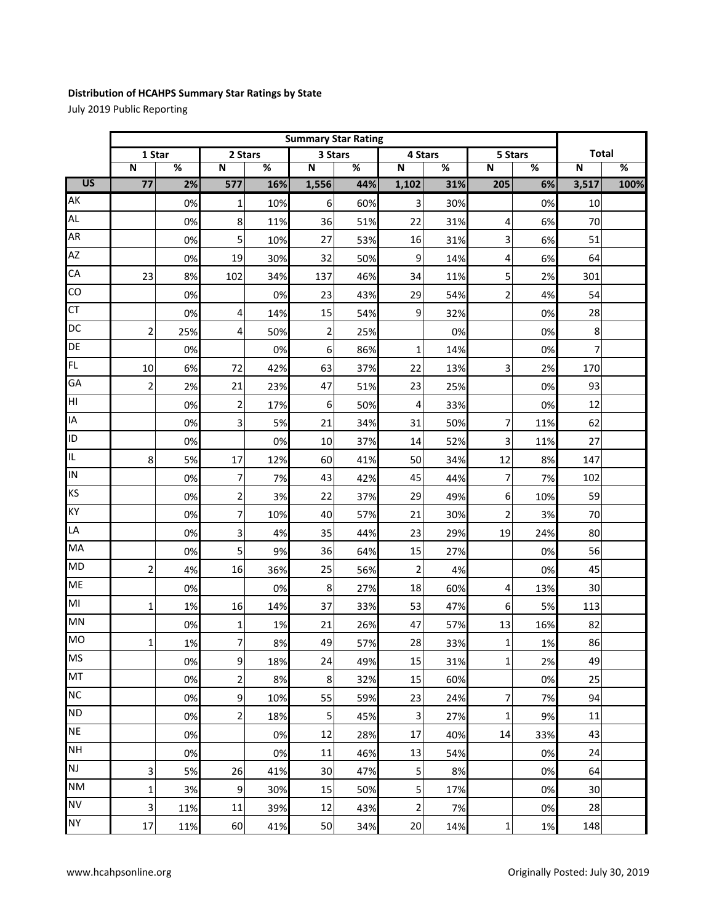## **Distribution of HCAHPS Summary Star Ratings by State**

July 2019 Public Reporting

|                 |                 | <b>Summary Star Rating</b> |                         |                          |                         |     |                         |     |                         |                          |                         |                          |
|-----------------|-----------------|----------------------------|-------------------------|--------------------------|-------------------------|-----|-------------------------|-----|-------------------------|--------------------------|-------------------------|--------------------------|
|                 | 1 Star          |                            | 2 Stars                 |                          | 3 Stars                 |     | 4 Stars                 |     | 5 Stars                 |                          | <b>Total</b>            |                          |
|                 | N               | %                          | $\overline{\mathsf{N}}$ | $\overline{\mathcal{C}}$ | $\overline{\mathsf{N}}$ | %   | $\overline{\mathsf{N}}$ | %   | $\overline{\mathsf{N}}$ | $\overline{\mathcal{C}}$ | $\overline{\mathsf{N}}$ | $\overline{\mathcal{C}}$ |
| $\overline{US}$ | $\overline{77}$ | 2%                         | 577                     | 16%                      | 1,556                   | 44% | 1,102                   | 31% | 205                     | 6%                       | 3,517                   | 100%                     |
| AK              |                 | 0%                         | 1                       | 10%                      | 6                       | 60% | 3                       | 30% |                         | 0%                       | 10                      |                          |
| AL              |                 | 0%                         | 8                       | 11%                      | 36                      | 51% | 22                      | 31% | 4                       | 6%                       | 70                      |                          |
| AR              |                 | 0%                         | 5                       | 10%                      | 27                      | 53% | 16                      | 31% | 3                       | 6%                       | 51                      |                          |
| <b>AZ</b>       |                 | 0%                         | 19                      | 30%                      | 32                      | 50% | 9                       | 14% | 4                       | 6%                       | 64                      |                          |
| CA              | 23              | 8%                         | 102                     | 34%                      | 137                     | 46% | 34                      | 11% | 5                       | 2%                       | 301                     |                          |
| CO              |                 | 0%                         |                         | 0%                       | 23                      | 43% | 29                      | 54% | $\overline{2}$          | 4%                       | 54                      |                          |
| <b>CT</b>       |                 | 0%                         | 4                       | 14%                      | 15                      | 54% | 9                       | 32% |                         | 0%                       | 28                      |                          |
| <b>DC</b>       | 2               | 25%                        | 4                       | 50%                      | 2                       | 25% |                         | 0%  |                         | 0%                       | 8                       |                          |
| DE              |                 | 0%                         |                         | 0%                       | 6                       | 86% | 1                       | 14% |                         | 0%                       | 7                       |                          |
| FL              | 10              | 6%                         | 72                      | 42%                      | 63                      | 37% | 22                      | 13% | 3                       | 2%                       | 170                     |                          |
| GA              | 2               | 2%                         | 21                      | 23%                      | 47                      | 51% | 23                      | 25% |                         | 0%                       | 93                      |                          |
| HГ              |                 | 0%                         | 2                       | 17%                      | 6                       | 50% | 4                       | 33% |                         | 0%                       | 12                      |                          |
| IA              |                 | 0%                         | 3                       | 5%                       | 21                      | 34% | 31                      | 50% | 7                       | 11%                      | 62                      |                          |
| ID              |                 | 0%                         |                         | 0%                       | 10                      | 37% | 14                      | 52% | 3                       | 11%                      | 27                      |                          |
| IL              | 8               | 5%                         | 17                      | 12%                      | 60                      | 41% | 50                      | 34% | 12                      | 8%                       | 147                     |                          |
| IN              |                 | 0%                         | 7                       | 7%                       | 43                      | 42% | 45                      | 44% | 7                       | 7%                       | 102                     |                          |
| <b>KS</b>       |                 | 0%                         | $\overline{\mathbf{c}}$ | 3%                       | 22                      | 37% | 29                      | 49% | 6                       | 10%                      | 59                      |                          |
| KY              |                 | 0%                         | 7                       | 10%                      | 40                      | 57% | 21                      | 30% | $\overline{2}$          | 3%                       | 70                      |                          |
| LA              |                 | 0%                         | 3                       | 4%                       | 35                      | 44% | 23                      | 29% | 19                      | 24%                      | 80                      |                          |
| MA              |                 | 0%                         | 5                       | 9%                       | 36                      | 64% | 15                      | 27% |                         | 0%                       | 56                      |                          |
| <b>MD</b>       | 2               | 4%                         | 16                      | 36%                      | 25                      | 56% | $\overline{2}$          | 4%  |                         | 0%                       | 45                      |                          |
| <b>ME</b>       |                 | 0%                         |                         | 0%                       | 8                       | 27% | 18                      | 60% | 4                       | 13%                      | 30                      |                          |
| MI              | 1               | 1%                         | 16                      | 14%                      | 37                      | 33% | 53                      | 47% | 6                       | 5%                       | 113                     |                          |
| MN              |                 | 0%                         | 1                       | 1%                       | 21                      | 26% | 47                      | 57% | 13                      | 16%                      | 82                      |                          |
| <b>MO</b>       | 1               | 1%                         | 7                       | 8%                       | 49                      | 57% | 28                      | 33% | $\mathbf{1}$            | 1%                       | 86                      |                          |
| <b>MS</b>       |                 | 0%                         | $\overline{9}$          | 18%                      | 24                      | 49% | 15                      | 31% | $1\vert$                | 2%                       | 49                      |                          |
| MT              |                 | 0%                         | $\overline{\mathbf{c}}$ | 8%                       | 8                       | 32% | 15                      | 60% |                         | 0%                       | 25                      |                          |
| <b>NC</b>       |                 | 0%                         | 9                       | 10%                      | 55                      | 59% | 23                      | 24% | 7                       | 7%                       | 94                      |                          |
| <b>ND</b>       |                 | 0%                         | 2                       | 18%                      | 5                       | 45% | 3                       | 27% | $\mathbf{1}$            | 9%                       | 11                      |                          |
| <b>NE</b>       |                 | 0%                         |                         | 0%                       | 12                      | 28% | 17                      | 40% | 14                      | 33%                      | 43                      |                          |
| <b>NH</b>       |                 | 0%                         |                         | 0%                       | 11                      | 46% | 13                      | 54% |                         | 0%                       | 24                      |                          |
| NJ              | 3               | 5%                         | 26                      | 41%                      | 30                      | 47% | 5                       | 8%  |                         | 0%                       | 64                      |                          |
| <b>NM</b>       | 1               | 3%                         | 9                       | 30%                      | 15                      | 50% | 5                       | 17% |                         | 0%                       | 30                      |                          |
| <b>NV</b>       | 3               | 11%                        | $11\,$                  | 39%                      | 12                      | 43% | $\overline{2}$          | 7%  |                         | 0%                       | 28                      |                          |
| <b>NY</b>       | 17              | 11%                        | 60                      | 41%                      | 50                      | 34% | 20                      | 14% | $\mathbf{1}$            | 1%                       | 148                     |                          |